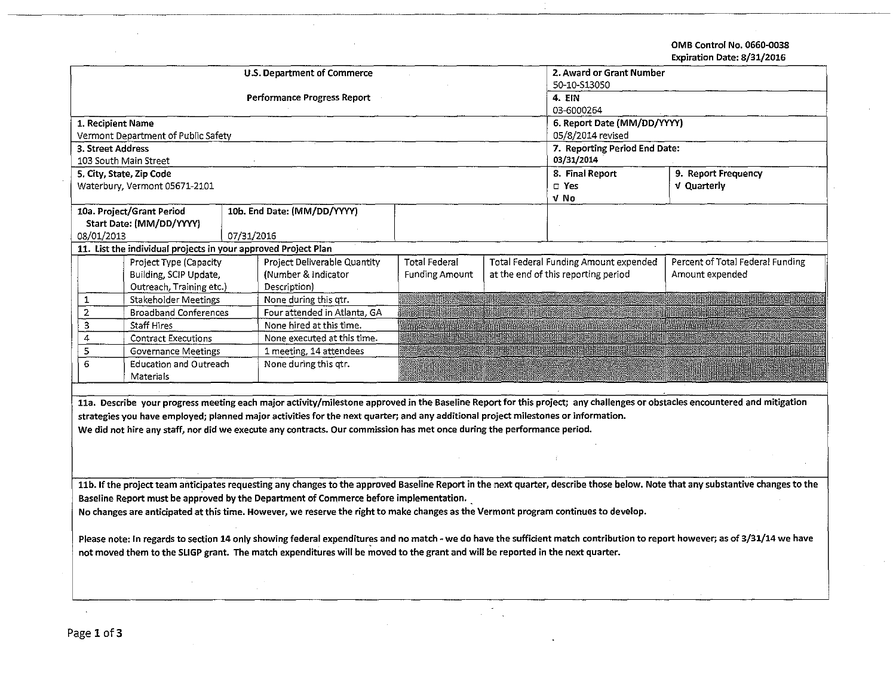OMB Control No. 0660-0038 Expiration Date: 8/31/2016

 $\alpha$ 

|                                                                                                                                                                                 |                                                                |            |                                                                                                                                    |                          |        |                                       | בגעא נכינס וישנוש ווטוואט וועגב                                                                                                                                            |  |  |  |
|---------------------------------------------------------------------------------------------------------------------------------------------------------------------------------|----------------------------------------------------------------|------------|------------------------------------------------------------------------------------------------------------------------------------|--------------------------|--------|---------------------------------------|----------------------------------------------------------------------------------------------------------------------------------------------------------------------------|--|--|--|
|                                                                                                                                                                                 |                                                                |            | U.S. Department of Commerce                                                                                                        | 2. Award or Grant Number |        |                                       |                                                                                                                                                                            |  |  |  |
|                                                                                                                                                                                 |                                                                |            |                                                                                                                                    | 50-10-513050             |        |                                       |                                                                                                                                                                            |  |  |  |
|                                                                                                                                                                                 |                                                                |            | <b>Performance Progress Report</b>                                                                                                 |                          | 4. EIN |                                       |                                                                                                                                                                            |  |  |  |
|                                                                                                                                                                                 |                                                                |            |                                                                                                                                    |                          |        | 03-6000264                            |                                                                                                                                                                            |  |  |  |
| 1. Recipient Name                                                                                                                                                               |                                                                |            |                                                                                                                                    |                          |        | 6. Report Date (MM/DD/YYYY)           |                                                                                                                                                                            |  |  |  |
|                                                                                                                                                                                 | Vermont Department of Public Safety                            |            |                                                                                                                                    |                          |        | 05/8/2014 revised                     |                                                                                                                                                                            |  |  |  |
| 3. Street Address                                                                                                                                                               |                                                                |            |                                                                                                                                    |                          |        | 7. Reporting Period End Date:         |                                                                                                                                                                            |  |  |  |
|                                                                                                                                                                                 | 103 South Main Street                                          |            |                                                                                                                                    |                          |        | 03/31/2014                            |                                                                                                                                                                            |  |  |  |
|                                                                                                                                                                                 | 5. City, State, Zip Code                                       |            |                                                                                                                                    |                          |        | 8. Final Report                       | 9. Report Frequency                                                                                                                                                        |  |  |  |
|                                                                                                                                                                                 | Waterbury, Vermont 05671-2101                                  |            |                                                                                                                                    |                          |        | $\square$ Yes                         | V Quarterly                                                                                                                                                                |  |  |  |
|                                                                                                                                                                                 |                                                                |            |                                                                                                                                    |                          |        | v No                                  |                                                                                                                                                                            |  |  |  |
|                                                                                                                                                                                 | 10a. Project/Grant Period                                      |            | 10b. End Date: (MM/DD/YYYY)                                                                                                        |                          |        |                                       |                                                                                                                                                                            |  |  |  |
|                                                                                                                                                                                 | Start Date: (MM/DD/YYYY)                                       |            |                                                                                                                                    |                          |        |                                       |                                                                                                                                                                            |  |  |  |
| 08/01/2013                                                                                                                                                                      |                                                                | 07/31/2016 |                                                                                                                                    |                          |        |                                       |                                                                                                                                                                            |  |  |  |
|                                                                                                                                                                                 | 11. List the individual projects in your approved Project Plan |            |                                                                                                                                    |                          |        |                                       |                                                                                                                                                                            |  |  |  |
|                                                                                                                                                                                 | Project Type (Capacity                                         |            | Project Deliverable Quantity                                                                                                       | Total Federal            |        | Total Federal Funding Amount expended | Percent of Total Federal Funding                                                                                                                                           |  |  |  |
|                                                                                                                                                                                 | Building, SCIP Update,                                         |            | (Number & Indicator                                                                                                                | <b>Funding Amount</b>    |        | at the end of this reporting period   | Amount expended                                                                                                                                                            |  |  |  |
|                                                                                                                                                                                 | Outreach, Training etc.)                                       |            | Description)                                                                                                                       |                          |        |                                       |                                                                                                                                                                            |  |  |  |
| 1                                                                                                                                                                               | Stakeholder Meetings                                           |            | None during this qtr.                                                                                                              |                          |        |                                       |                                                                                                                                                                            |  |  |  |
| $\mathbf 2$                                                                                                                                                                     | <b>Broadband Conferences</b>                                   |            | Four attended in Atlanta, GA                                                                                                       |                          |        |                                       |                                                                                                                                                                            |  |  |  |
| 3                                                                                                                                                                               | Staff Hires                                                    |            | None hired at this time.                                                                                                           |                          |        |                                       |                                                                                                                                                                            |  |  |  |
| 4                                                                                                                                                                               | <b>Contract Executions</b>                                     |            | None executed at this time.                                                                                                        |                          |        |                                       |                                                                                                                                                                            |  |  |  |
| 5                                                                                                                                                                               | <b>Governance Meetings</b>                                     |            | 1 meeting, 14 attendees                                                                                                            |                          |        |                                       |                                                                                                                                                                            |  |  |  |
| 6                                                                                                                                                                               | Education and Outreach                                         |            | None during this qtr.                                                                                                              |                          |        |                                       |                                                                                                                                                                            |  |  |  |
|                                                                                                                                                                                 | Materials                                                      |            |                                                                                                                                    |                          |        |                                       |                                                                                                                                                                            |  |  |  |
|                                                                                                                                                                                 |                                                                |            |                                                                                                                                    |                          |        |                                       |                                                                                                                                                                            |  |  |  |
|                                                                                                                                                                                 |                                                                |            |                                                                                                                                    |                          |        |                                       | 11a. Describe your progress meeting each major activity/milestone approved in the Baseline Report for this project; any challenges or obstacles encountered and mitigation |  |  |  |
|                                                                                                                                                                                 |                                                                |            | strategies you have employed; planned major activities for the next quarter; and any additional project milestones or information. |                          |        |                                       |                                                                                                                                                                            |  |  |  |
|                                                                                                                                                                                 |                                                                |            | We did not hire any staff, nor did we execute any contracts. Our commission has met once during the performance period.            |                          |        |                                       |                                                                                                                                                                            |  |  |  |
|                                                                                                                                                                                 |                                                                |            |                                                                                                                                    |                          |        |                                       |                                                                                                                                                                            |  |  |  |
|                                                                                                                                                                                 |                                                                |            |                                                                                                                                    |                          |        |                                       |                                                                                                                                                                            |  |  |  |
|                                                                                                                                                                                 |                                                                |            |                                                                                                                                    |                          |        |                                       |                                                                                                                                                                            |  |  |  |
| 11b. If the project team anticipates requesting any changes to the approved Baseline Report in the next quarter, describe those below. Note that any substantive changes to the |                                                                |            |                                                                                                                                    |                          |        |                                       |                                                                                                                                                                            |  |  |  |
| Baseline Report must be approved by the Department of Commerce before implementation.                                                                                           |                                                                |            |                                                                                                                                    |                          |        |                                       |                                                                                                                                                                            |  |  |  |
| No changes are anticipated at this time. However, we reserve the right to make changes as the Vermont program continues to develop.                                             |                                                                |            |                                                                                                                                    |                          |        |                                       |                                                                                                                                                                            |  |  |  |
|                                                                                                                                                                                 |                                                                |            |                                                                                                                                    |                          |        |                                       |                                                                                                                                                                            |  |  |  |
| Please note: In regards to section 14 only showing federal expenditures and no match - we do have the sufficient match contribution to report however; as of 3/31/14 we have    |                                                                |            |                                                                                                                                    |                          |        |                                       |                                                                                                                                                                            |  |  |  |
| not moved them to the SLIGP grant. The match expenditures will be moved to the grant and will be reported in the next quarter.                                                  |                                                                |            |                                                                                                                                    |                          |        |                                       |                                                                                                                                                                            |  |  |  |
|                                                                                                                                                                                 |                                                                |            |                                                                                                                                    |                          |        |                                       |                                                                                                                                                                            |  |  |  |
|                                                                                                                                                                                 |                                                                |            |                                                                                                                                    |                          |        |                                       |                                                                                                                                                                            |  |  |  |
|                                                                                                                                                                                 |                                                                |            |                                                                                                                                    |                          |        |                                       |                                                                                                                                                                            |  |  |  |
|                                                                                                                                                                                 |                                                                |            |                                                                                                                                    |                          |        |                                       |                                                                                                                                                                            |  |  |  |
|                                                                                                                                                                                 |                                                                |            |                                                                                                                                    |                          |        |                                       |                                                                                                                                                                            |  |  |  |

÷,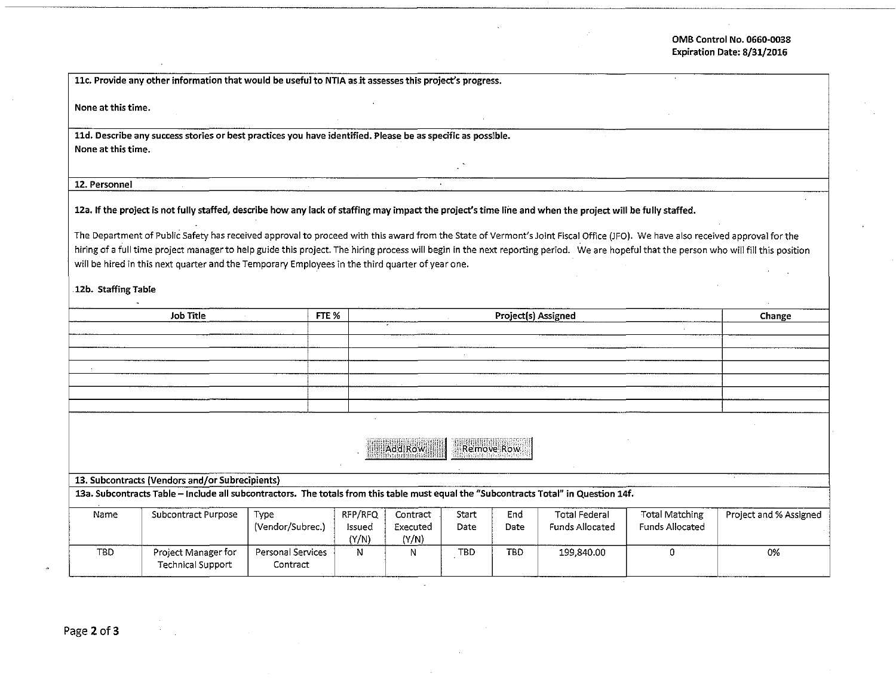## OMB Control No. 0660-0038 Expiration Date: 8/31/2016

11c. Provide any other information that would be useful to NTIA as it assesses this project's progress.

None at this time.

lld. Describe any success stories or best practices you have identified. Please be as specific as possible. None at this time.

12. Personnel

12a. If the project is not fully staffed, describe how any lack of staffing may impact the project's time line and when the project will be fully staffed.

The Department of Public Safety has received approval to proceed with this award from the State of Vermont's Joint Fiscal Office (JFO). We have also received approval for the hiring of a full time project manager to help guide this project. The hiring process will begin in the next reporting period. We are hopeful that the person who will fill this position will be hired in this next quarter and the Temporary Employees in the third quarter of year one.

.

12b. Staffing Table

| <b>Job Title</b> | FTE % | Project(s) Assigned | Change |
|------------------|-------|---------------------|--------|
|                  |       |                     |        |
|                  |       |                     |        |
|                  |       |                     |        |
|                  |       |                     |        |
|                  |       |                     |        |
|                  |       |                     |        |
|                  |       |                     |        |

| ٠ | ----- | Remove Row<br>二節 |
|---|-------|------------------|
|   |       |                  |

13. Subcontracts (Vendors and/or Subrecipients)

13a. Subcontracts Table - Include all subcontractors. The totals from this table must equal the "Subcontracts Total" in Question 14f.

| Name | Subcontract Purpose                      | Type<br>(Vendor/Subrec.)      | RFP/RFO<br>Issued<br>(Y/N) | Contract<br>Executed<br>(Y/N) | Start<br>Date | End<br>Date | <b>Total Federal</b><br>Funds Allocated | Total Matching<br>Funds Allocated | Project and % Assigned |
|------|------------------------------------------|-------------------------------|----------------------------|-------------------------------|---------------|-------------|-----------------------------------------|-----------------------------------|------------------------|
| TBD  | Project Manager for<br>Technical Support | Personal Services<br>Contract | N                          |                               | TBD           | <b>TBD</b>  | 199.840.00                              |                                   | 0%                     |

Page 2 of 3